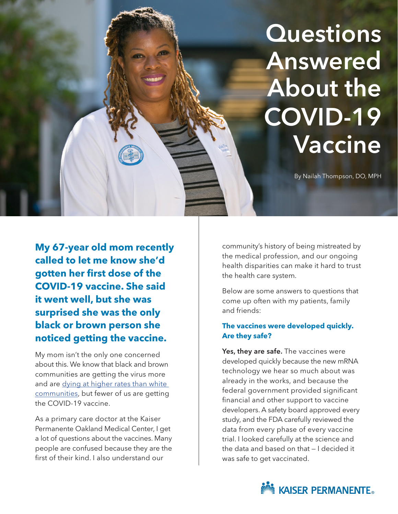# **Questions** Answered About the COVID-19 Vaccine

By Nailah Thompson, DO, MPH

**My 67-year old mom recently called to let me know she'd gotten her first dose of the COVID-19 vaccine. She said it went well, but she was surprised she was the only black or brown person she noticed getting the vaccine.**

My mom isn't the only one concerned about this. We know that black and brown communities are getting the virus more and are dying at higher rates than white [communities,](https://www.cdc.gov/coronavirus/2019-ncov/covid-data/investigations-discovery/hospitalization-death-by-race-ethnicity.html?CDC_AA_refVal=https%3A%2F%2Fwww.cdc.gov%2Fcoronavirus%2F2019-ncov%2Fcommunity%2Fhealth-equity%2Fracial-ethnic-disparities%2Finfographic-cases-hospitalization-death.html) but fewer of us are getting the COVID-19 vaccine.

As a primary care doctor at the Kaiser Permanente Oakland Medical Center, I get a lot of questions about the vaccines. Many people are confused because they are the first of their kind. I also understand our

community's history of being mistreated by the medical profession, and our ongoing health disparities can make it hard to trust the health care system.

Below are some answers to questions that come up often with my patients, family and friends:

# **The vaccines were developed quickly. Are they safe?**

Yes, they are safe. The vaccines were developed quickly because the new mRNA technology we hear so much about was already in the works, and because the federal government provided significant financial and other support to vaccine developers. A safety board approved every study, and the FDA carefully reviewed the data from every phase of every vaccine trial. I looked carefully at the science and the data and based on that — I decided it was safe to get vaccinated.